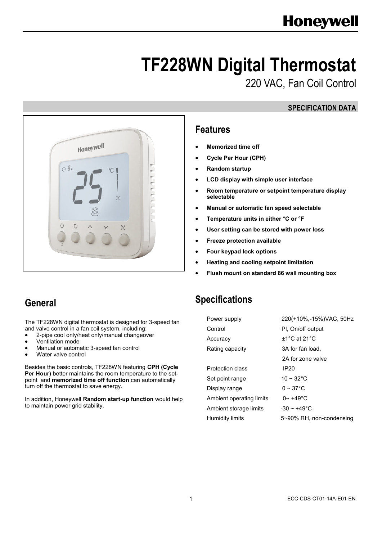# **TF228WN Digital Thermostat**

220 VAC, Fan Coil Control

#### **SPECIFICATION DATA**



#### **Features**

- **Memorized time off**
- **Cycle Per Hour (CPH)**
- **Random startup**
- **LCD display with simple user interface**
- **Room temperature or setpoint temperature display selectable**
- **Manual or automatic fan speed selectable**
- **Temperature units in either °C or °F**
- **User setting can be stored with power loss**
- **Freeze protection available**
- **Four keypad lock options**
- **Heating and cooling setpoint limitation**
- **Flush mount on standard 86 wall mounting box**

## **Specifications**

| Power supply             | 220(+10%,-15%)VAC, 50Hz            |
|--------------------------|------------------------------------|
| Control                  | PI, On/off output                  |
| Accuracy                 | +1 $^{\circ}$ C at 21 $^{\circ}$ C |
| Rating capacity          | 3A for fan load.                   |
|                          | 2A for zone valve                  |
| Protection class         | IP20                               |
| Set point range          | 10 ~ 32 °C                         |
| Display range            | $0 \sim 37$ °C                     |
| Ambient operating limits | $0 - +49^{\circ}C$                 |
| Ambient storage limits   | $-30 - +49^{\circ}$ C              |
| Humidity limits          | 5~90% RH, non-condensing           |

## **General**

The TF228WN digital thermostat is designed for 3-speed fan and valve control in a fan coil system, including:

- 2-pipe cool only/heat only/manual changeover
- Ventilation mode
- Manual or automatic 3-speed fan control
- Water valve control

Besides the basic controls, TF228WN featuring **CPH (Cycle**  Per Hour) better maintains the room temperature to the setpoint and **memorized time off function** can automatically turn off the thermostat to save energy.

In addition, Honeywell **Random start-up function** would help to maintain power grid stability.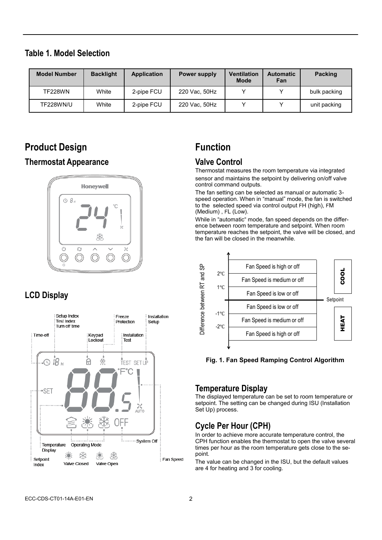#### **Table 1. Model Selection**

| <b>Model Number</b> | <b>Backlight</b> | <b>Application</b> | <b>Power supply</b> | <b>Ventilation</b><br><b>Mode</b> | <b>Automatic</b><br>Fan | <b>Packing</b> |
|---------------------|------------------|--------------------|---------------------|-----------------------------------|-------------------------|----------------|
| <b>TF228WN</b>      | White            | 2-pipe FCU         | 220 Vac, 50Hz       |                                   |                         | bulk packing   |
| TF228WN/U           | White            | 2-pipe FCU         | 220 Vac, 50Hz       |                                   |                         | unit packing   |

## **Product Design**

#### **Thermostat Appearance**



## **LCD Display**



## **Function**

#### **Valve Control**

Thermostat measures the room temperature via integrated sensor and maintains the setpoint by delivering on/off valve control command outputs.

The fan setting can be selected as manual or automatic 3 speed operation. When in "manual" mode, the fan is switched to the selected speed via control output FH (high), FM (Medium) , FL (Low).

While in "automatic" mode, fan speed depends on the difference between room temperature and setpoint. When room temperature reaches the setpoint, the valve will be closed, and the fan will be closed in the meanwhile.



**Fig. 1. Fan Speed Ramping Control Algorithm**

#### **Temperature Display**

The displayed temperature can be set to room temperature or setpoint. The setting can be changed during ISU (Installation Set Up) process.

### **Cycle Per Hour (CPH)**

In order to achieve more accurate temperature control, the CPH function enables the thermostat to open the valve several times per hour as the room temperature gets close to the sepoint.

The value can be changed in the ISU, but the default values are 4 for heating and 3 for cooling.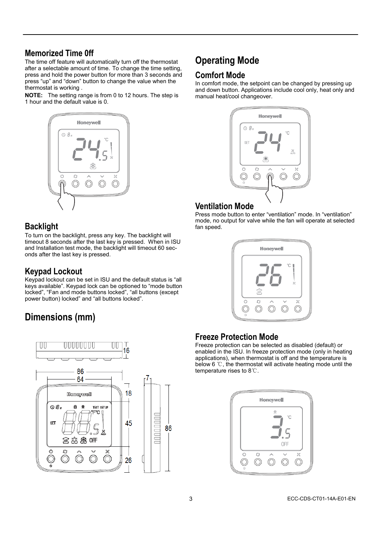#### **Memorized Time 0ff**

The time off feature will automatically turn off the thermostat after a selectable amount of time. To change the time setting, press and hold the power button for more than 3 seconds and press "up" and "down" button to change the value when the thermostat is working .

**NOTE:** The setting range is from 0 to 12 hours. The step is 1 hour and the default value is 0.



#### **Backlight**

To turn on the backlight, press any key. The backlight will timeout 8 seconds after the last key is pressed. When in ISU and Installation test mode, the backlight will timeout 60 seconds after the last key is pressed.

#### **Keypad Lockout**

Keypad lockout can be set in ISU and the default status is "all keys available". Keypad lock can be optioned to "mode button locked", "Fan and mode buttons locked", "all buttons (except power button) locked" and "all buttons locked".

## **Dimensions (mm)**



## **Operating Mode**

#### **Comfort Mode**

In comfort mode, the setpoint can be changed by pressing up and down button. Applications include cool only, heat only and manual heat/cool changeover.



#### **Ventilation Mode**

Press mode button to enter "ventilation" mode. In "ventilation" mode, no output for valve while the fan will operate at selected fan speed.



#### **Freeze Protection Mode**

Freeze protection can be selected as disabled (default) or enabled in the ISU. In freeze protection mode (only in heating applications), when thermostat is off and the temperature is below 6 ℃, the thermostat will activate heating mode until the temperature rises to 8℃.